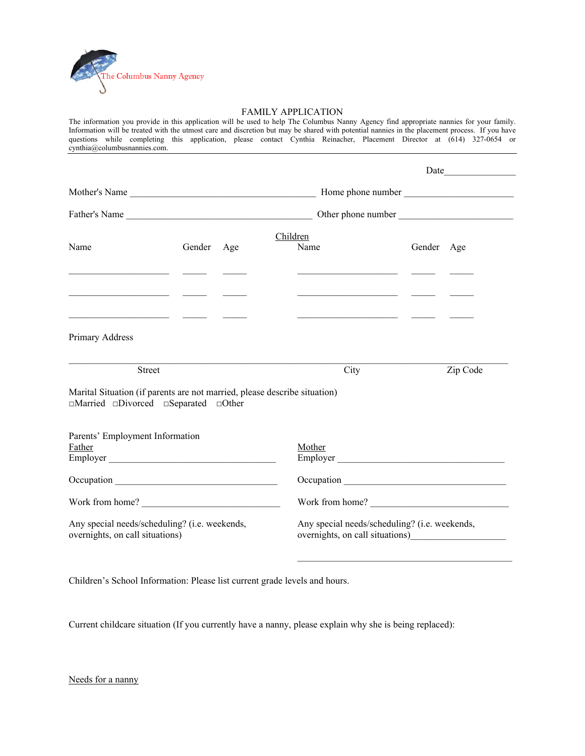

## FAMILY APPLICATION

The information you provide in this application will be used to help The Columbus Nanny Agency find appropriate nannies for your family. Information will be treated with the utmost care and discretion but may be shared with potential nannies in the placement process. If you have questions while completing this application, please contact Cynthia Reinacher, Placement Director at (614) 327-0654 or cynthia@columbusnannies.com.

| Name<br>the control of the control of the control of the                                                                                                                          | Gender | Age | Children<br>Name<br><u> 1989 - Johann Barbara, martin a</u> | Gender Age                                                                                                                                                                                                                           |  |  |
|-----------------------------------------------------------------------------------------------------------------------------------------------------------------------------------|--------|-----|-------------------------------------------------------------|--------------------------------------------------------------------------------------------------------------------------------------------------------------------------------------------------------------------------------------|--|--|
| <u> 1989 - Johann Stone, fransk politiker (d. 1989)</u><br><u> 1989 - Jan Samuel Barbara, margaret e</u> n 1989 - Antonio III et al. 1989 - Antonio II et al. 1989 - Antonio II e |        |     |                                                             | <u> 1989 - Johann Harry Harry Harry Harry Harry Harry Harry Harry Harry Harry Harry Harry Harry Harry Harry Harry Harry Harry Harry Harry Harry Harry Harry Harry Harry Harry Harry Harry Harry Harry Harry Harry Harry Harry Ha</u> |  |  |
| Primary Address                                                                                                                                                                   |        |     |                                                             |                                                                                                                                                                                                                                      |  |  |
| Street                                                                                                                                                                            |        |     | City                                                        | Zip Code                                                                                                                                                                                                                             |  |  |
| Marital Situation (if parents are not married, please describe situation)<br>$\Box$ Married $\Box$ Divorced $\Box$ Separated $\Box$ Other                                         |        |     |                                                             |                                                                                                                                                                                                                                      |  |  |
| Parents' Employment Information<br>Father<br>Employer                                                                                                                             |        |     | Mother                                                      | Employer                                                                                                                                                                                                                             |  |  |
|                                                                                                                                                                                   |        |     |                                                             |                                                                                                                                                                                                                                      |  |  |
| Work from home?                                                                                                                                                                   |        |     |                                                             | Work from home?                                                                                                                                                                                                                      |  |  |
| Any special needs/scheduling? (i.e. weekends,<br>overnights, on call situations)                                                                                                  |        |     |                                                             | Any special needs/scheduling? (i.e. weekends,                                                                                                                                                                                        |  |  |
|                                                                                                                                                                                   |        |     |                                                             |                                                                                                                                                                                                                                      |  |  |

Children's School Information: Please list current grade levels and hours.

Current childcare situation (If you currently have a nanny, please explain why she is being replaced):

Needs for a nanny